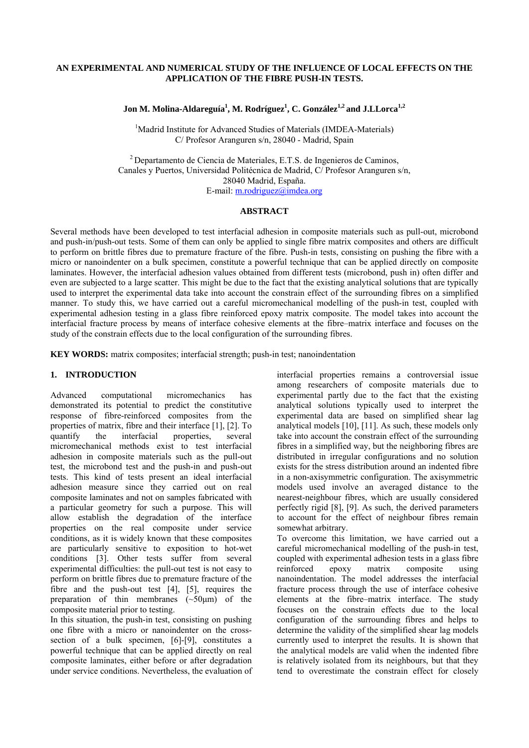# **AN EXPERIMENTAL AND NUMERICAL STUDY OF THE INFLUENCE OF LOCAL EFFECTS ON THE APPLICATION OF THE FIBRE PUSH-IN TESTS.**

 $J$ on M. Molina-Aldareguía<sup>1</sup>, M. Rodríguez<sup>1</sup>, C. González<sup>1,2</sup> and J.LLorca<sup>1,2</sup>

<sup>1</sup>Madrid Institute for Advanced Studies of Materials (IMDEA-Materials) C/ Profesor Aranguren s/n, 28040 - Madrid, Spain

<sup>2</sup> Departamento de Ciencia de Materiales, E.T.S. de Ingenieros de Caminos, Canales y Puertos, Universidad Politécnica de Madrid, C/ Profesor Aranguren s/n, 28040 Madrid, España. E-mail: m.rodriguez@imdea.org

## **ABSTRACT**

Several methods have been developed to test interfacial adhesion in composite materials such as pull-out, microbond and push-in/push-out tests. Some of them can only be applied to single fibre matrix composites and others are difficult to perform on brittle fibres due to premature fracture of the fibre. Push-in tests, consisting on pushing the fibre with a micro or nanoindenter on a bulk specimen, constitute a powerful technique that can be applied directly on composite laminates. However, the interfacial adhesion values obtained from different tests (microbond, push in) often differ and even are subjected to a large scatter. This might be due to the fact that the existing analytical solutions that are typically used to interpret the experimental data take into account the constrain effect of the surrounding fibres on a simplified manner. To study this, we have carried out a careful micromechanical modelling of the push-in test, coupled with experimental adhesion testing in a glass fibre reinforced epoxy matrix composite. The model takes into account the interfacial fracture process by means of interface cohesive elements at the fibre–matrix interface and focuses on the study of the constrain effects due to the local configuration of the surrounding fibres.

**KEY WORDS:** matrix composites; interfacial strength; push-in test; nanoindentation

## **1. INTRODUCTION**

Advanced computational micromechanics has demonstrated its potential to predict the constitutive response of fibre-reinforced composites from the properties of matrix, fibre and their interface [1], [2]. To quantify the interfacial properties, several micromechanical methods exist to test interfacial adhesion in composite materials such as the pull-out test, the microbond test and the push-in and push-out tests. This kind of tests present an ideal interfacial adhesion measure since they carried out on real composite laminates and not on samples fabricated with a particular geometry for such a purpose. This will allow establish the degradation of the interface properties on the real composite under service conditions, as it is widely known that these composites are particularly sensitive to exposition to hot-wet conditions [3]. Other tests suffer from several experimental difficulties: the pull-out test is not easy to perform on brittle fibres due to premature fracture of the fibre and the push-out test [4], [5], requires the preparation of thin membranes  $(-50\mu m)$  of the composite material prior to testing.

In this situation, the push-in test, consisting on pushing one fibre with a micro or nanoindenter on the crosssection of a bulk specimen, [6]-[9], constitutes a powerful technique that can be applied directly on real composite laminates, either before or after degradation under service conditions. Nevertheless, the evaluation of interfacial properties remains a controversial issue among researchers of composite materials due to experimental partly due to the fact that the existing analytical solutions typically used to interpret the experimental data are based on simplified shear lag analytical models [10], [11]. As such, these models only take into account the constrain effect of the surrounding fibres in a simplified way, but the neighboring fibres are distributed in irregular configurations and no solution exists for the stress distribution around an indented fibre in a non-axisymmetric configuration. The axisymmetric models used involve an averaged distance to the nearest-neighbour fibres, which are usually considered perfectly rigid [8], [9]. As such, the derived parameters to account for the effect of neighbour fibres remain somewhat arbitrary.

To overcome this limitation, we have carried out a careful micromechanical modelling of the push-in test, coupled with experimental adhesion tests in a glass fibre reinforced epoxy matrix composite using nanoindentation. The model addresses the interfacial fracture process through the use of interface cohesive elements at the fibre–matrix interface. The study focuses on the constrain effects due to the local configuration of the surrounding fibres and helps to determine the validity of the simplified shear lag models currently used to interpret the results. It is shown that the analytical models are valid when the indented fibre is relatively isolated from its neighbours, but that they tend to overestimate the constrain effect for closely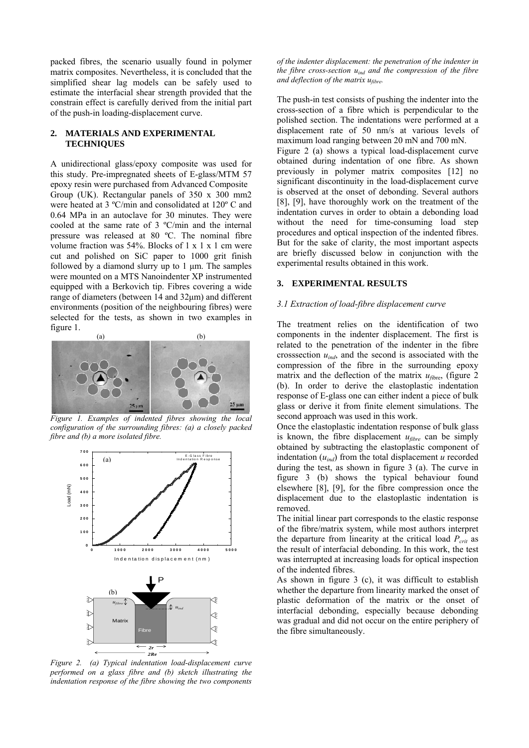packed fibres, the scenario usually found in polymer matrix composites. Nevertheless, it is concluded that the simplified shear lag models can be safely used to estimate the interfacial shear strength provided that the constrain effect is carefully derived from the initial part of the push-in loading-displacement curve.

## **2. MATERIALS AND EXPERIMENTAL TECHNIQUES**

A unidirectional glass/epoxy composite was used for this study. Pre-impregnated sheets of E-glass/MTM 57 epoxy resin were purchased from Advanced Composite Group (UK). Rectangular panels of 350 x 300 mm2 were heated at 3 ºC/min and consolidated at 120º C and 0.64 MPa in an autoclave for 30 minutes. They were cooled at the same rate of 3 ºC/min and the internal pressure was released at 80 ºC. The nominal fibre volume fraction was 54%. Blocks of 1 x 1 x 1 cm were cut and polished on SiC paper to 1000 grit finish followed by a diamond slurry up to 1 μm. The samples were mounted on a MTS Nanoindenter XP instrumented equipped with a Berkovich tip. Fibres covering a wide range of diameters (between 14 and 32μm) and different environments (position of the neighbouring fibres) were selected for the tests, as shown in two examples in figure 1.



*Figure 1. Examples of indented fibres showing the local configuration of the surrounding fibres: (a) a closely packed fibre and (b) a more isolated fibre.* 



*Figure 2. (a) Typical indentation load-displacement curve performed on a glass fibre and (b) sketch illustrating the indentation response of the fibre showing the two components* 

*of the indenter displacement: the penetration of the indenter in the fibre cross-section uind and the compression of the fibre and deflection of the matrix ufibre.* 

The push-in test consists of pushing the indenter into the cross-section of a fibre which is perpendicular to the polished section. The indentations were performed at a displacement rate of 50 nm/s at various levels of maximum load ranging between 20 mN and 700 mN.

Figure 2 (a) shows a typical load-displacement curve obtained during indentation of one fibre. As shown previously in polymer matrix composites [12] no significant discontinuity in the load-displacement curve is observed at the onset of debonding. Several authors [8], [9], have thoroughly work on the treatment of the indentation curves in order to obtain a debonding load without the need for time-consuming load step procedures and optical inspection of the indented fibres. But for the sake of clarity, the most important aspects are briefly discussed below in conjunction with the experimental results obtained in this work.

#### **3. EXPERIMENTAL RESULTS**

#### *3.1 Extraction of load-fibre displacement curve*

The treatment relies on the identification of two components in the indenter displacement. The first is related to the penetration of the indenter in the fibre crosssection  $u_{ind}$ , and the second is associated with the compression of the fibre in the surrounding epoxy matrix and the deflection of the matrix  $u_{\text{fibre}}$ , (figure 2) (b). In order to derive the elastoplastic indentation response of E-glass one can either indent a piece of bulk glass or derive it from finite element simulations. The second approach was used in this work.

Once the elastoplastic indentation response of bulk glass is known, the fibre displacement  $u_{\text{fiber}}$  can be simply obtained by subtracting the elastoplastic component of indentation  $(u_{ind})$  from the total displacement  $u$  recorded during the test, as shown in figure 3 (a). The curve in figure 3 (b) shows the typical behaviour found elsewhere [8], [9], for the fibre compression once the displacement due to the elastoplastic indentation is removed.

The initial linear part corresponds to the elastic response of the fibre/matrix system, while most authors interpret the departure from linearity at the critical load  $P_{crit}$  as the result of interfacial debonding. In this work, the test was interrupted at increasing loads for optical inspection of the indented fibres.

As shown in figure 3 (c), it was difficult to establish whether the departure from linearity marked the onset of plastic deformation of the matrix or the onset of interfacial debonding, especially because debonding was gradual and did not occur on the entire periphery of the fibre simultaneously.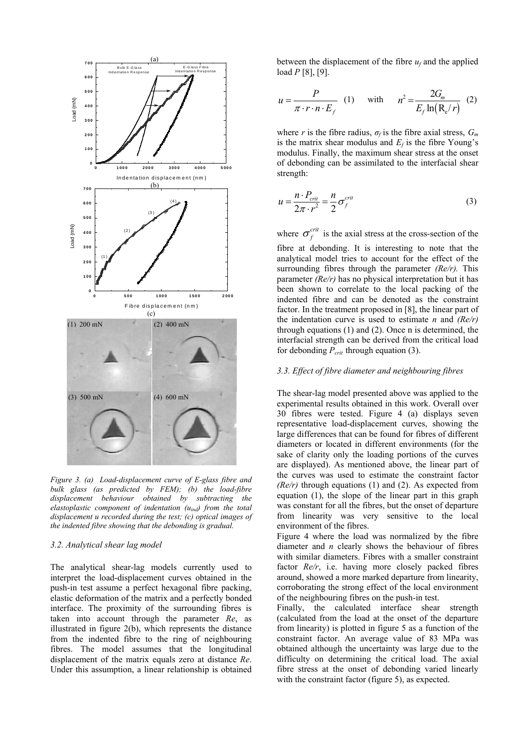

*Figure 3. (a) Load-displacement curve of E-glass fibre and bulk glass (as predicted by FEM); (b) the load-fibre displacement behaviour obtained by subtracting the elastoplastic component of indentation (uind) from the total displacement u recorded during the test; (c) optical images of the indented fibre showing that the debonding is gradual.* 

## *3.2. Analytical shear lag model*

The analytical shear-lag models currently used to interpret the load-displacement curves obtained in the push-in test assume a perfect hexagonal fibre packing, elastic deformation of the matrix and a perfectly bonded interface. The proximity of the surrounding fibres is taken into account through the parameter *Re*, as illustrated in figure 2(b), which represents the distance from the indented fibre to the ring of neighbouring fibres. The model assumes that the longitudinal displacement of the matrix equals zero at distance *Re*. Under this assumption, a linear relationship is obtained

between the displacement of the fibre  $u_f$  and the applied load *P* [8], [9].

$$
u = \frac{P}{\pi \cdot r \cdot n \cdot E_f} \quad (1) \quad \text{with} \quad n^2 = \frac{2G_m}{E_f \ln(R_e/r)} \quad (2)
$$

where *r* is the fibre radius,  $\sigma_f$  is the fibre axial stress,  $G_m$ is the matrix shear modulus and  $E_f$  is the fibre Young's modulus. Finally, the maximum shear stress at the onset of debonding can be assimilated to the interfacial shear strength:

$$
u = \frac{n \cdot P_{crit}}{2\pi \cdot r^2} = \frac{n}{2} \sigma_f^{crit}
$$
 (3)

where  $\sigma_f^{crit}$  is the axial stress at the cross-section of the fibre at debonding. It is interesting to note that the analytical model tries to account for the effect of the surrounding fibres through the parameter *(Re/r).* This parameter *(Re/r)* has no physical interpretation but it has been shown to correlate to the local packing of the indented fibre and can be denoted as the constraint factor. In the treatment proposed in [8], the linear part of the indentation curve is used to estimate *n* and *(Re/r)*  through equations (1) and (2). Once n is determined, the interfacial strength can be derived from the critical load for debonding  $P_{crit}$  through equation (3).

## *3.3. Effect of fibre diameter and neighbouring fibres*

The shear-lag model presented above was applied to the experimental results obtained in this work. Overall over 30 fibres were tested. Figure 4 (a) displays seven representative load-displacement curves, showing the large differences that can be found for fibres of different diameters or located in different environments (for the sake of clarity only the loading portions of the curves are displayed). As mentioned above, the linear part of the curves was used to estimate the constraint factor *(Re/r)* through equations (1) and (2). As expected from equation (1), the slope of the linear part in this graph was constant for all the fibres, but the onset of departure from linearity was very sensitive to the local environment of the fibres.

Figure 4 where the load was normalized by the fibre diameter and *n* clearly shows the behaviour of fibres with similar diameters. Fibres with a smaller constraint factor *Re/r*, i.e. having more closely packed fibres around, showed a more marked departure from linearity, corroborating the strong effect of the local environment of the neighbouring fibres on the push-in test.

Finally, the calculated interface shear strength (calculated from the load at the onset of the departure from linearity) is plotted in figure 5 as a function of the constraint factor. An average value of 83 MPa was obtained although the uncertainty was large due to the difficulty on determining the critical load. The axial fibre stress at the onset of debonding varied linearly with the constraint factor (figure 5), as expected.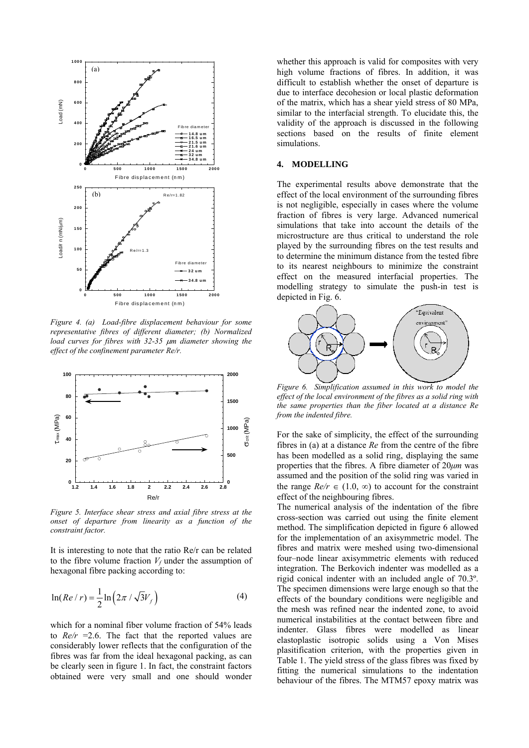

*Figure 4. (a) Load-fibre displacement behaviour for some representative fibres of different diameter; (b) Normalized load curves for fibres with 32-35 m diameter showing the effect of the confinement parameter Re/r.* 



*Figure 5. Interface shear stress and axial fibre stress at the onset of departure from linearity as a function of the constraint factor.* 

It is interesting to note that the ratio Re/r can be related to the fibre volume fraction  $V_f$  under the assumption of hexagonal fibre packing according to:

$$
\ln(Re / r) = \frac{1}{2} \ln \left( 2\pi / \sqrt{3}V_f \right) \tag{4}
$$

which for a nominal fiber volume fraction of 54% leads to  $Re/r = 2.6$ . The fact that the reported values are considerably lower reflects that the configuration of the fibres was far from the ideal hexagonal packing, as can be clearly seen in figure 1. In fact, the constraint factors obtained were very small and one should wonder whether this approach is valid for composites with very high volume fractions of fibres. In addition, it was difficult to establish whether the onset of departure is due to interface decohesion or local plastic deformation of the matrix, which has a shear yield stress of 80 MPa, similar to the interfacial strength. To elucidate this, the validity of the approach is discussed in the following sections based on the results of finite element simulations.

### **4. MODELLING**

The experimental results above demonstrate that the effect of the local environment of the surrounding fibres is not negligible, especially in cases where the volume fraction of fibres is very large. Advanced numerical simulations that take into account the details of the microstructure are thus critical to understand the role played by the surrounding fibres on the test results and to determine the minimum distance from the tested fibre to its nearest neighbours to minimize the constraint effect on the measured interfacial properties. The modelling strategy to simulate the push-in test is depicted in Fig. 6.



*Figure 6. Simplification assumed in this work to model the effect of the local environment of the fibres as a solid ring with the same properties than the fiber located at a distance Re from the indented fibre.* 

For the sake of simplicity, the effect of the surrounding fibres in (a) at a distance *Re* from the centre of the fibre has been modelled as a solid ring, displaying the same properties that the fibres. A fibre diameter of 20*μm* was assumed and the position of the solid ring was varied in the range  $Re/r \in (1.0, \infty)$  to account for the constraint effect of the neighbouring fibres.

The numerical analysis of the indentation of the fibre cross-section was carried out using the finite element method. The simplification depicted in figure 6 allowed for the implementation of an axisymmetric model. The fibres and matrix were meshed using two-dimensional four–node linear axisymmetric elements with reduced integration. The Berkovich indenter was modelled as a rigid conical indenter with an included angle of 70.3º. The specimen dimensions were large enough so that the effects of the boundary conditions were negligible and the mesh was refined near the indented zone, to avoid numerical instabilities at the contact between fibre and indenter. Glass fibres were modelled as linear elastoplastic isotropic solids using a Von Mises plasitification criterion, with the properties given in Table 1. The yield stress of the glass fibres was fixed by fitting the numerical simulations to the indentation behaviour of the fibres. The MTM57 epoxy matrix was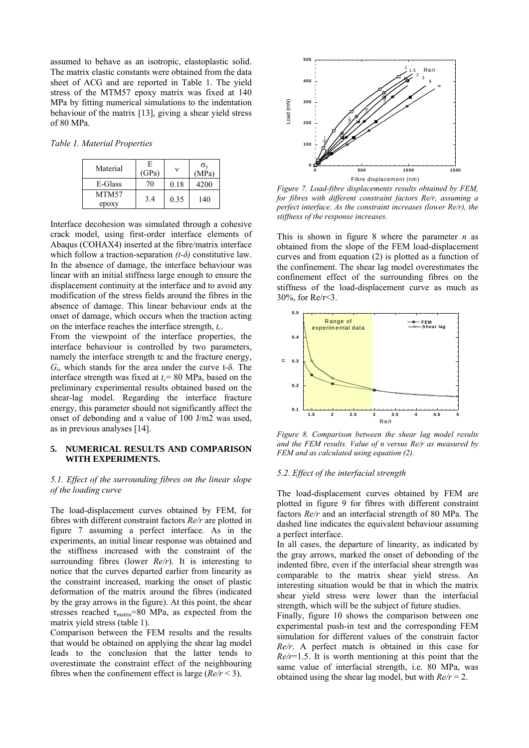assumed to behave as an isotropic, elastoplastic solid. The matrix elastic constants were obtained from the data sheet of ACG and are reported in Table 1. The yield stress of the MTM57 epoxy matrix was fixed at 140 MPa by fitting numerical simulations to the indentation behaviour of the matrix [13], giving a shear yield stress of 80 MPa.

*Table 1. Material Properties* 

| Material       | E<br>(GPa) | ν    | $\sigma_{v}$<br>(MPa) |
|----------------|------------|------|-----------------------|
| E-Glass        | 70         | 0.18 | 4200                  |
| MTM57<br>epoxy | 3.4        | 0.35 | 140                   |

Interface decohesion was simulated through a cohesive crack model, using first-order interface elements of Abaqus (COHAX4) inserted at the fibre/matrix interface which follow a traction-separation  $(t-\delta)$  constitutive law. In the absence of damage, the interface behaviour was linear with an initial stiffness large enough to ensure the displacement continuity at the interface and to avoid any modification of the stress fields around the fibres in the absence of damage. This linear behaviour ends at the onset of damage, which occurs when the traction acting on the interface reaches the interface strength, *tc*.

From the viewpoint of the interface properties, the interface behaviour is controlled by two parameters, namely the interface strength tc and the fracture energy, *Gi*, which stands for the area under the curve t-δ. The interface strength was fixed at  $t_c$  = 80 MPa, based on the preliminary experimental results obtained based on the shear-lag model. Regarding the interface fracture energy, this parameter should not significantly affect the onset of debonding and a value of 100 J/m2 was used, as in previous analyses [14].

## **5. NUMERICAL RESULTS AND COMPARISON WITH EXPERIMENTS.**

## *5.1. Effect of the surrounding fibres on the linear slope of the loading curve*

The load-displacement curves obtained by FEM, for fibres with different constraint factors *Re/r* are plotted in figure 7 assuming a perfect interface. As in the experiments, an initial linear response was obtained and the stiffness increased with the constraint of the surrounding fibres (lower *Re/r*). It is interesting to notice that the curves departed earlier from linearity as the constraint increased, marking the onset of plastic deformation of the matrix around the fibres (indicated by the gray arrows in the figure). At this point, the shear stresses reached  $\tau_{\text{matrix}}=80 \text{ MPa}$ , as expected from the matrix yield stress (table 1).

Comparison between the FEM results and the results that would be obtained on applying the shear lag model leads to the conclusion that the latter tends to overestimate the constraint effect of the neighbouring fibres when the confinement effect is large  $(Re/r < 3)$ .



*Figure 7. Load-fibre displacements results obtained by FEM, for fibres with different constraint factors Re/r, assuming a perfect interface. As the constraint increases (lower Re/r), the stiffness of the response increases.* 

This is shown in figure 8 where the parameter *n* as obtained from the slope of the FEM load-displacement curves and from equation (2) is plotted as a function of the confinement. The shear lag model overestimates the confinement effect of the surrounding fibres on the stiffness of the load-displacement curve as much as 30%, for Re/r<3.



*Figure 8. Comparison between the shear lag model results and the FEM results. Value of n versus Re/r as measured by FEM and as calculated using equation (2).* 

## *5.2. Effect of the interfacial strength*

The load-displacement curves obtained by FEM are plotted in figure 9 for fibres with different constraint factors *Re/r* and an interfacial strength of 80 MPa. The dashed line indicates the equivalent behaviour assuming a perfect interface.

In all cases, the departure of linearity, as indicated by the gray arrows, marked the onset of debonding of the indented fibre, even if the interfacial shear strength was comparable to the matrix shear yield stress. An interesting situation would be that in which the matrix shear yield stress were lower than the interfacial strength, which will be the subject of future studies.

Finally, figure 10 shows the comparison between one experimental push-in test and the corresponding FEM simulation for different values of the constrain factor *Re/r*. A perfect match is obtained in this case for *Re/r*=1.5. It is worth mentioning at this point that the same value of interfacial strength, i.e. 80 MPa, was obtained using the shear lag model, but with *Re/r* = 2.